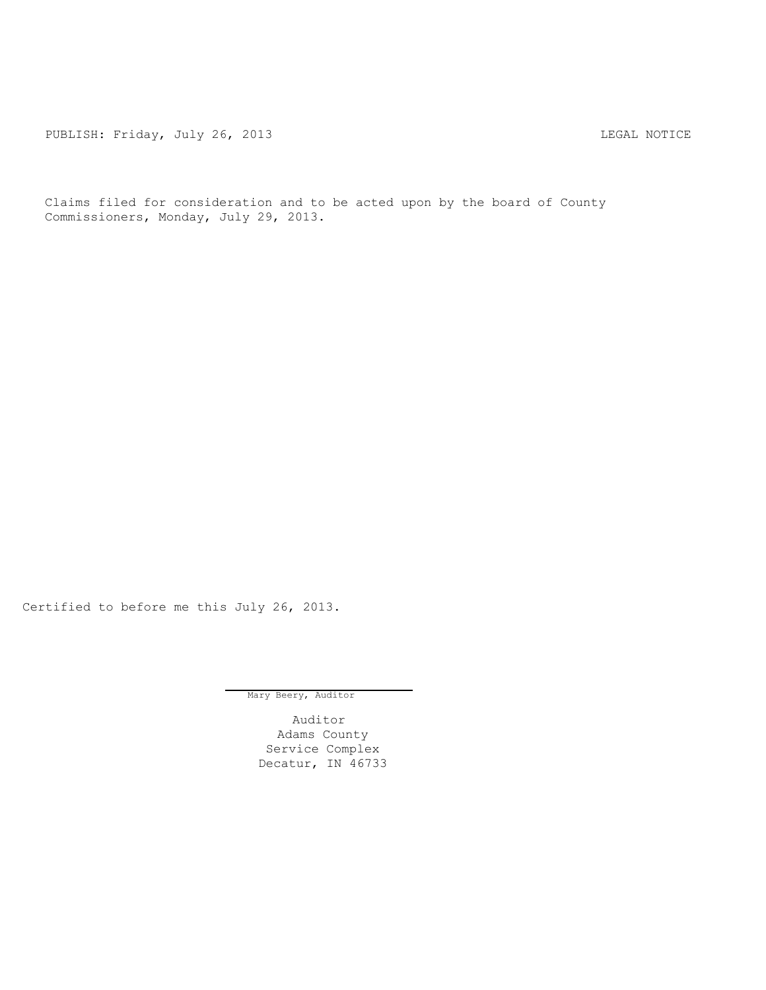PUBLISH: Friday, July 26, 2013 LEGAL NOTICE

Claims filed for consideration and to be acted upon by the board of County Commissioners, Monday, July 29, 2013.

Certified to before me this July 26, 2013.

Mary Beery, Auditor

Auditor Adams County Service Complex Decatur, IN 46733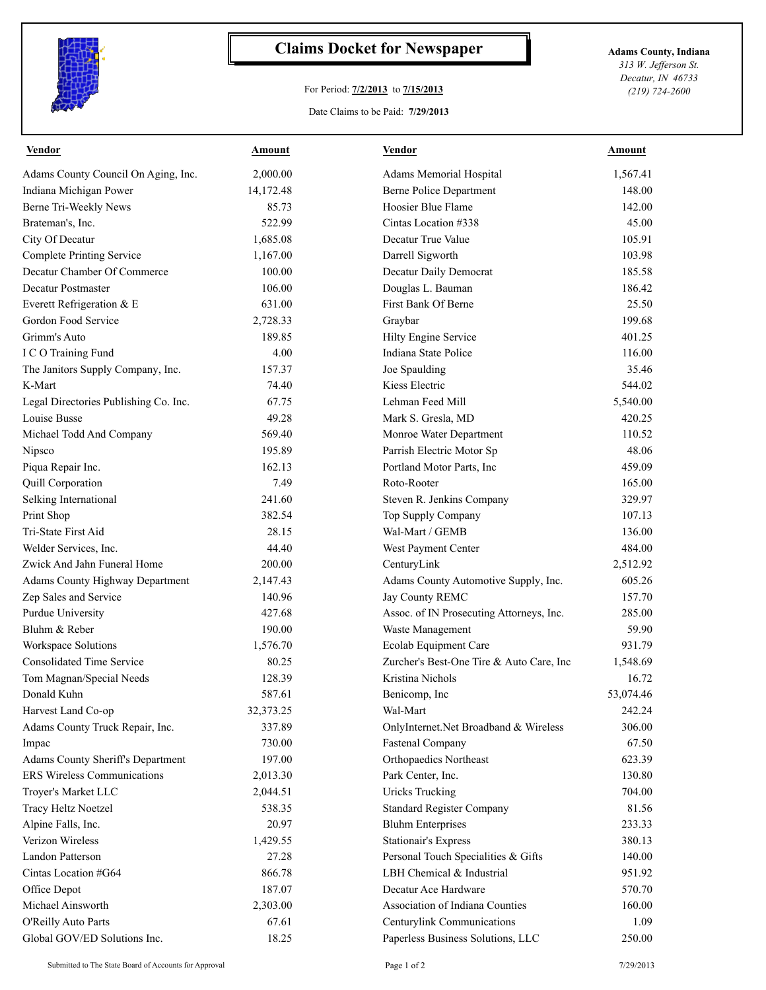

## **Claims Docket for Newspaper Adams County, Indiana**

## For Period: **7/2/2013** to **7/15/2013**

Date Claims to be Paid: **7/29/2013**

*313 W. Jefferson St. Decatur, IN 46733 (219) 724-2600*

| <b>Vendor</b>                          | <b>Amount</b> | <b>Vendor</b>                            | <b>Amount</b> |
|----------------------------------------|---------------|------------------------------------------|---------------|
| Adams County Council On Aging, Inc.    | 2,000.00      | Adams Memorial Hospital                  | 1,567.41      |
| Indiana Michigan Power                 | 14,172.48     | <b>Berne Police Department</b>           | 148.00        |
| Berne Tri-Weekly News                  | 85.73         | Hoosier Blue Flame                       | 142.00        |
| Brateman's, Inc.                       | 522.99        | Cintas Location #338                     | 45.00         |
| City Of Decatur                        | 1,685.08      | Decatur True Value                       | 105.91        |
| Complete Printing Service              | 1,167.00      | Darrell Sigworth                         | 103.98        |
| Decatur Chamber Of Commerce            | 100.00        | Decatur Daily Democrat                   | 185.58        |
| Decatur Postmaster                     | 106.00        | Douglas L. Bauman                        | 186.42        |
| Everett Refrigeration & E              | 631.00        | First Bank Of Berne                      | 25.50         |
| Gordon Food Service                    | 2,728.33      | Graybar                                  | 199.68        |
| Grimm's Auto                           | 189.85        | Hilty Engine Service                     | 401.25        |
| I C O Training Fund                    | 4.00          | Indiana State Police                     | 116.00        |
| The Janitors Supply Company, Inc.      | 157.37        | Joe Spaulding                            | 35.46         |
| K-Mart                                 | 74.40         | Kiess Electric                           | 544.02        |
| Legal Directories Publishing Co. Inc.  | 67.75         | Lehman Feed Mill                         | 5,540.00      |
| Louise Busse                           | 49.28         | Mark S. Gresla, MD                       | 420.25        |
| Michael Todd And Company               | 569.40        | Monroe Water Department                  | 110.52        |
| Nipsco                                 | 195.89        | Parrish Electric Motor Sp                | 48.06         |
| Piqua Repair Inc.                      | 162.13        | Portland Motor Parts, Inc                | 459.09        |
| Quill Corporation                      | 7.49          | Roto-Rooter                              | 165.00        |
| Selking International                  | 241.60        | Steven R. Jenkins Company                | 329.97        |
| Print Shop                             | 382.54        | Top Supply Company                       | 107.13        |
| Tri-State First Aid                    | 28.15         | Wal-Mart / GEMB                          | 136.00        |
| Welder Services, Inc.                  | 44.40         | West Payment Center                      | 484.00        |
| Zwick And Jahn Funeral Home            | 200.00        | CenturyLink                              | 2,512.92      |
| <b>Adams County Highway Department</b> | 2,147.43      | Adams County Automotive Supply, Inc.     | 605.26        |
| Zep Sales and Service                  | 140.96        | Jay County REMC                          | 157.70        |
| Purdue University                      | 427.68        | Assoc. of IN Prosecuting Attorneys, Inc. | 285.00        |
| Bluhm & Reber                          | 190.00        | Waste Management                         | 59.90         |
| Workspace Solutions                    | 1,576.70      | Ecolab Equipment Care                    | 931.79        |
| <b>Consolidated Time Service</b>       | 80.25         | Zurcher's Best-One Tire & Auto Care, Inc | 1,548.69      |
| Tom Magnan/Special Needs               | 128.39        | Kristina Nichols                         | 16.72         |
| Donald Kuhn                            | 587.61        | Benicomp, Inc                            | 53,074.46     |
| Harvest Land Co-op                     | 32,373.25     | Wal-Mart                                 | 242.24        |
| Adams County Truck Repair, Inc.        | 337.89        | OnlyInternet.Net Broadband & Wireless    | 306.00        |
| Impac                                  | 730.00        | <b>Fastenal Company</b>                  | 67.50         |
| Adams County Sheriff's Department      | 197.00        | Orthopaedics Northeast                   | 623.39        |
| ERS Wireless Communications            | 2,013.30      | Park Center, Inc.                        | 130.80        |
| Troyer's Market LLC                    | 2,044.51      | <b>Uricks Trucking</b>                   | 704.00        |
| Tracy Heltz Noetzel                    | 538.35        | <b>Standard Register Company</b>         | 81.56         |
| Alpine Falls, Inc.                     | 20.97         | <b>Bluhm Enterprises</b>                 | 233.33        |
| Verizon Wireless                       | 1,429.55      | <b>Stationair's Express</b>              | 380.13        |
| Landon Patterson                       | 27.28         | Personal Touch Specialities & Gifts      | 140.00        |
| Cintas Location #G64                   | 866.78        | LBH Chemical & Industrial                | 951.92        |
| Office Depot                           | 187.07        | Decatur Ace Hardware                     | 570.70        |
| Michael Ainsworth                      | 2,303.00      | Association of Indiana Counties          | 160.00        |
|                                        |               |                                          |               |
| O'Reilly Auto Parts                    | 67.61         | Centurylink Communications               | 1.09          |
| Global GOV/ED Solutions Inc.           | 18.25         | Paperless Business Solutions, LLC        | 250.00        |